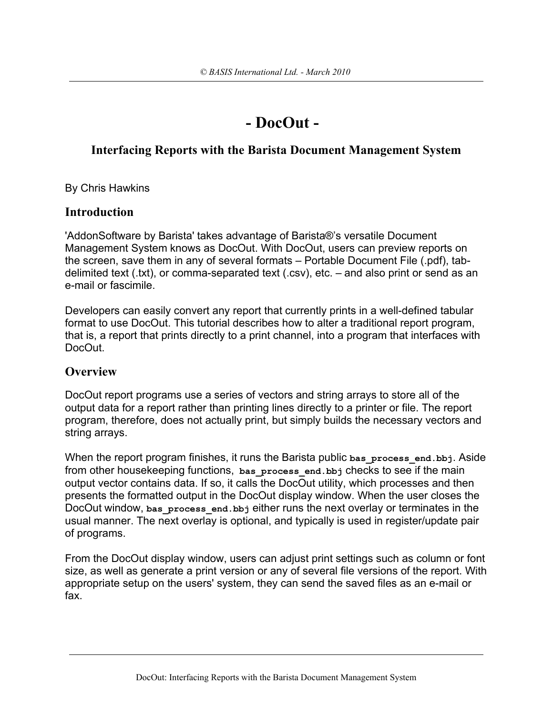# **- DocOut -**

# **Interfacing Reports with the Barista Document Management System**

By Chris Hawkins

### **Introduction**

'AddonSoftware by Barista' takes advantage of Barista®'s versatile Document Management System knows as DocOut. With DocOut, users can preview reports on the screen, save them in any of several formats – Portable Document File (.pdf), tabdelimited text (.txt), or comma-separated text (.csv), etc. – and also print or send as an e-mail or fascimile.

Developers can easily convert any report that currently prints in a well-defined tabular format to use DocOut. This tutorial describes how to alter a traditional report program, that is, a report that prints directly to a print channel, into a program that interfaces with DocOut.

# **Overview**

DocOut report programs use a series of vectors and string arrays to store all of the output data for a report rather than printing lines directly to a printer or file. The report program, therefore, does not actually print, but simply builds the necessary vectors and string arrays.

When the report program finishes, it runs the Barista public **bas\_process\_end.bbj**. Aside from other housekeeping functions, **bas\_process\_end.bbj** checks to see if the main output vector contains data. If so, it calls the DocOut utility, which processes and then presents the formatted output in the DocOut display window. When the user closes the DocOut window, **bas\_process\_end.bbj** either runs the next overlay or terminates in the usual manner. The next overlay is optional, and typically is used in register/update pair of programs.

From the DocOut display window, users can adjust print settings such as column or font size, as well as generate a print version or any of several file versions of the report. With appropriate setup on the users' system, they can send the saved files as an e-mail or fax.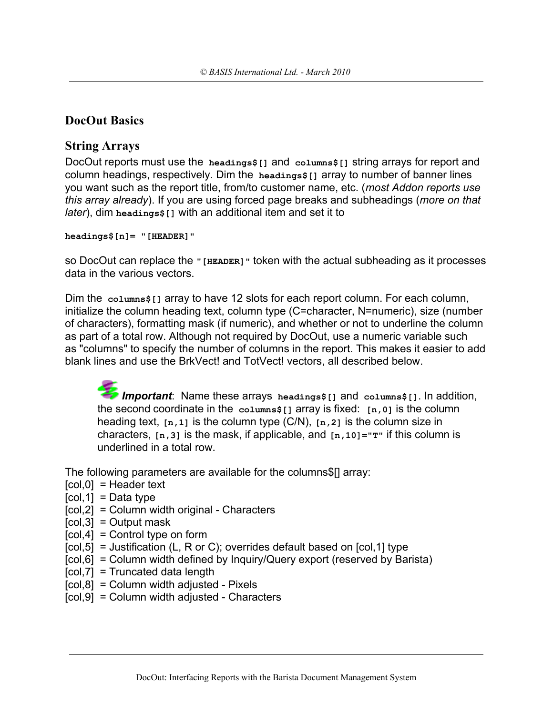## **DocOut Basics**

### **String Arrays**

DocOut reports must use the **headings\$[]** and **columns\$[]** string arrays for report and column headings, respectively. Dim the **headings\$[]** array to number of banner lines you want such as the report title, from/to customer name, etc. (*most Addon reports use this array already*). If you are using forced page breaks and subheadings (*more on that later*), dim **headings\$[]** with an additional item and set it to

**headings\$[n]= "[HEADER]"**

so DocOut can replace the **"[HEADER]"** token with the actual subheading as it processes data in the various vectors.

Dim the **columns\$[]** array to have 12 slots for each report column. For each column, initialize the column heading text, column type (C=character, N=numeric), size (number of characters), formatting mask (if numeric), and whether or not to underline the column as part of a total row. Although not required by DocOut, use a numeric variable such as "columns" to specify the number of columns in the report. This makes it easier to add blank lines and use the BrkVect! and TotVect! vectors, all described below.

*Important*: Name these arrays **headings\$[]** and **columns\$[]**. In addition, the second coordinate in the **columns\$[]** array is fixed: **[n,0]** is the column heading text, **[n,1]** is the column type (C/N), **[n,2]** is the column size in characters, **[n,3]** is the mask, if applicable, and **[n,10]="T"** if this column is underlined in a total row.

The following parameters are available for the columns\$[] array:

- $[col, 0]$  = Header text
- $[col.1] = Data$  type
- [col,2] = Column width original Characters
- $[col,3] = Output$  mask
- $[col, 4] =$  Control type on form
- $[col, 5] =$  Justification (L, R or C); overrides default based on  $[col, 1]$  type
- [col,6] = Column width defined by Inquiry/Query export (reserved by Barista)
- $[col, 7] = Truncated data length$
- $[col, 8] = Column width adjusted Pixels$
- [col,9] = Column width adjusted Characters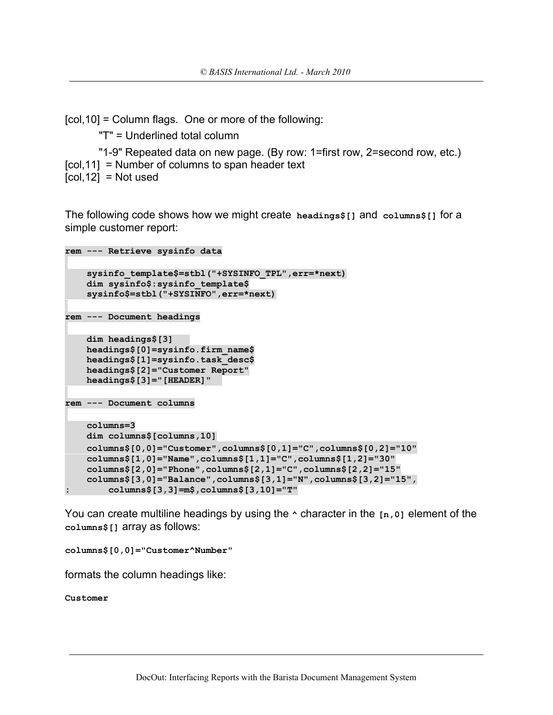[col,10] = Column flags. One or more of the following:

"T" = Underlined total column

"1-9" Repeated data on new page. (By row: 1=first row, 2=second row, etc.) [col,11] = Number of columns to span header text  $[col, 12] = Not used$ 

The following code shows how we might create **headings\$[]** and **columns\$[]** for a simple customer report:

```
rem --- Retrieve sysinfo data
     sysinfo_template$=stbl("+SYSINFO_TPL",err=*next)
     dim sysinfo$:sysinfo_template$
     sysinfo$=stbl("+SYSINFO",err=*next)
rem --- Document headings
     dim headings$[3] 
     headings$[0]=sysinfo.firm_name$
     headings$[1]=sysinfo.task_desc$
     headings$[2]="Customer Report"
     headings$[3]="[HEADER]" 
rem --- Document columns
     columns=3
     dim columns$[columns,10]
     columns$[0,0]="Customer",columns$[0,1]="C",columns$[0,2]="10"
     columns$[1,0]="Name",columns$[1,1]="C",columns$[1,2]="30"
     columns$[2,0]="Phone",columns$[2,1]="C",columns$[2,2]="15"
     columns$[3,0]="Balance",columns$[3,1]="N",columns$[3,2]="15",
        : columns$[3,3]=m$,columns$[3,10]="T"
```
You can create multiline headings by using the **^** character in the **[n,0]** element of the **columns\$[]** array as follows:

**columns\$[0,0]="Customer^Number"**

formats the column headings like:

**Customer**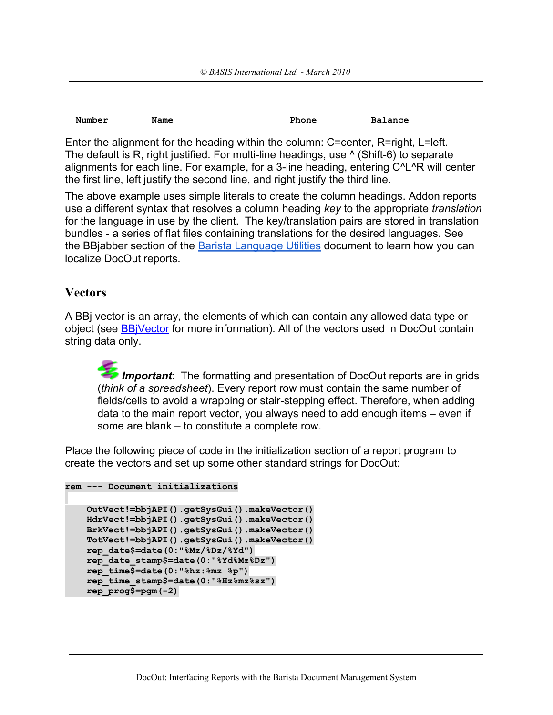| Number | Name | Phone | <b>Balance</b> |
|--------|------|-------|----------------|
|        |      |       |                |

Enter the alignment for the heading within the column: C=center, R=right, L=left. The default is R, right justified. For multi-line headings, use  $\wedge$  (Shift-6) to separate alignments for each line. For example, for a 3-line heading, entering C^L^R will center the first line, left justify the second line, and right justify the third line.

The above example uses simple literals to create the column headings. Addon reports use a different syntax that resolves a column heading *key* to the appropriate *translation* for the language in use by the client. The key/translation pairs are stored in translation bundles - a series of flat files containing translations for the desired languages. See the BBjabber section of the [Barista Language Utilities](https://docs.google.com/a/basis.com/document/d/1MP-0n2T63NvTvWLfqJ-ZKDzHVDGmPD2TIztu7G_TQu0/edit) document to learn how you can localize DocOut reports.

### **Vectors**

A BBj vector is an array, the elements of which can contain any allowed data type or object (see [BBjVector](http://www.basis.com/onlinedocs/documentation/index.htm#%3Cid=219) for more information). All of the vectors used in DocOut contain string data only.

**Important**: The formatting and presentation of DocOut reports are in grids (*think of a spreadsheet*). Every report row must contain the same number of fields/cells to avoid a wrapping or stair-stepping effect. Therefore, when adding data to the main report vector, you always need to add enough items – even if some are blank – to constitute a complete row.

Place the following piece of code in the initialization section of a report program to create the vectors and set up some other standard strings for DocOut:

```
rem --- Document initializations
```

```
 OutVect!=bbjAPI().getSysGui().makeVector()
 HdrVect!=bbjAPI().getSysGui().makeVector()
 BrkVect!=bbjAPI().getSysGui().makeVector()
 TotVect!=bbjAPI().getSysGui().makeVector()
 rep_date$=date(0:"%Mz/%Dz/%Yd")
 rep_date_stamp$=date(0:"%Yd%Mz%Dz")
 rep_time$=date(0:"%hz:%mz %p")
 rep_time_stamp$=date(0:"%Hz%mz%sz")
 rep_prog$=pgm(-2)
```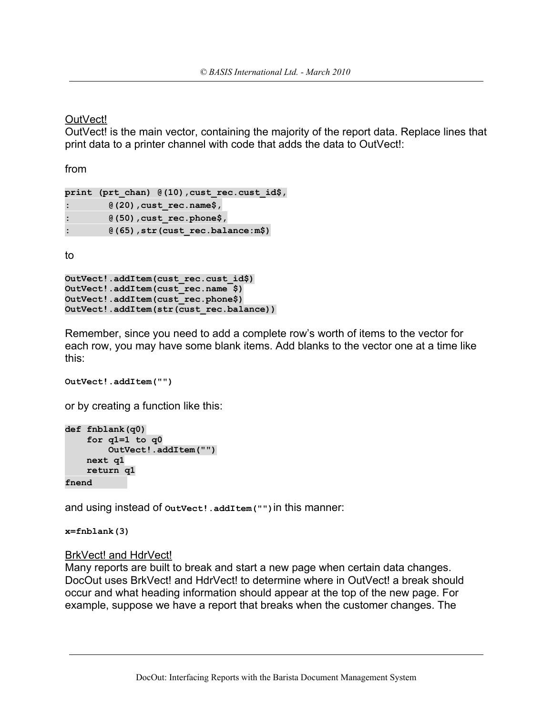OutVect!

OutVect! is the main vector, containing the majority of the report data. Replace lines that print data to a printer channel with code that adds the data to OutVect!:

from

```
print (prt_chan) @(10),cust_rec.cust_id$,
: @(20),cust_rec.name$,
: @(50),cust_rec.phone$,
: @(65),str(cust_rec.balance:m$)
```
to

```
OutVect!.addItem(cust_rec.cust_id$)
OutVect!.addItem(cust_rec.name $)
OutVect!.addItem(cust_rec.phone$)
OutVect!.addItem(str(cust_rec.balance))
```
Remember, since you need to add a complete row's worth of items to the vector for each row, you may have some blank items. Add blanks to the vector one at a time like this:

```
OutVect!.addItem("")
```
or by creating a function like this:

```
def fnblank(q0)
     for q1=1 to q0
         OutVect!.addItem("")
     next q1
     return q1
fnend
```
and using instead of **OutVect!.addItem("")**in this manner:

**x=fnblank(3)**

### BrkVect! and HdrVect!

Many reports are built to break and start a new page when certain data changes. DocOut uses BrkVect! and HdrVect! to determine where in OutVect! a break should occur and what heading information should appear at the top of the new page. For example, suppose we have a report that breaks when the customer changes. The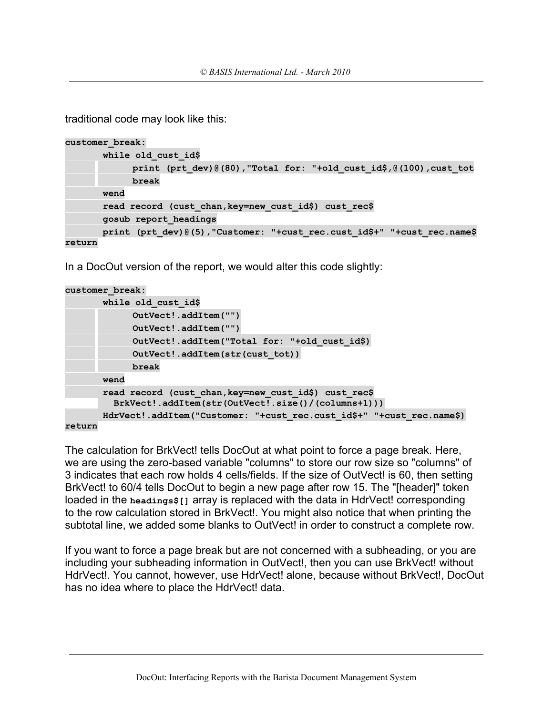traditional code may look like this:

```
customer_break:
        while old_cust_id$
             print (prt_dev)@(80),"Total for: "+old_cust_id$,@(100),cust_tot
             break
        wend
        read record (cust_chan,key=new_cust_id$) cust_rec$
        gosub report_headings
        print (prt_dev)@(5),"Customer: "+cust_rec.cust_id$+" "+cust_rec.name$
return
```
In a DocOut version of the report, we would alter this code slightly:

```
customer_break:
        while old_cust_id$
             OutVect!.addItem("")
             OutVect!.addItem("")
             OutVect!.addItem("Total for: "+old_cust_id$)
             OutVect!.addItem(str(cust_tot))
             break
        wend
        read record (cust_chan,key=new_cust_id$) cust_rec$
          BrkVect!.addItem(str(OutVect!.size()/(columns+1)))
        HdrVect!.addItem("Customer: "+cust_rec.cust_id$+" "+cust_rec.name$)
```
**return**

The calculation for BrkVect! tells DocOut at what point to force a page break. Here, we are using the zero-based variable "columns" to store our row size so "columns" of 3 indicates that each row holds 4 cells/fields. If the size of OutVect! is 60, then setting BrkVect! to 60/4 tells DocOut to begin a new page after row 15. The "[header]" token loaded in the **headings\$[]** array is replaced with the data in HdrVect! corresponding to the row calculation stored in BrkVect!. You might also notice that when printing the subtotal line, we added some blanks to OutVect! in order to construct a complete row.

If you want to force a page break but are not concerned with a subheading, or you are including your subheading information in OutVect!, then you can use BrkVect! without HdrVect!. You cannot, however, use HdrVect! alone, because without BrkVect!, DocOut has no idea where to place the HdrVect! data.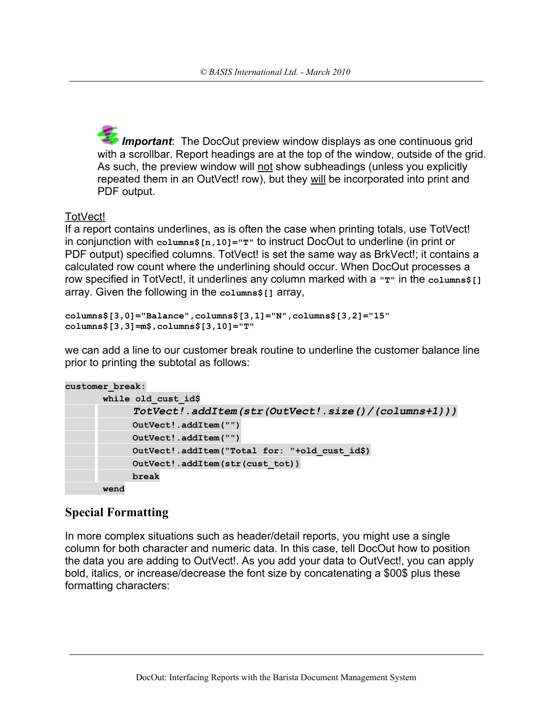*Important*: The DocOut preview window displays as one continuous grid with a scrollbar. Report headings are at the top of the window, outside of the grid. As such, the preview window will not show subheadings (unless you explicitly repeated them in an OutVect! row), but they will be incorporated into print and PDF output.

# TotVect!

If a report contains underlines, as is often the case when printing totals, use TotVect! in conjunction with **columns\$[n,10]="T"** to instruct DocOut to underline (in print or PDF output) specified columns. TotVect! is set the same way as BrkVect!; it contains a calculated row count where the underlining should occur. When DocOut processes a row specified in TotVect!, it underlines any column marked with a  $\mathbf{r}$   $\mathbf{r}$ " in the columns\$[] array. Given the following in the **columns\$[]** array,

```
columns$[3,0]="Balance",columns$[3,1]="N",columns$[3,2]="15"
columns$[3,3]=m$,columns$[3,10]="T"
```
we can add a line to our customer break routine to underline the customer balance line prior to printing the subtotal as follows:

```
customer_break:
```

```
 while old_cust_id$
                               TotVect!.addItem(str(OutVect!.size()/(columns+1)))
       OutVect!.addItem("")
       OutVect!.addItem("")
       OutVect!.addItem("Total for: "+old_cust_id$)
       OutVect!.addItem(str(cust_tot))
       break
 wend
```
# **Special Formatting**

In more complex situations such as header/detail reports, you might use a single column for both character and numeric data. In this case, tell DocOut how to position the data you are adding to OutVect!. As you add your data to OutVect!, you can apply bold, italics, or increase/decrease the font size by concatenating a \$00\$ plus these formatting characters: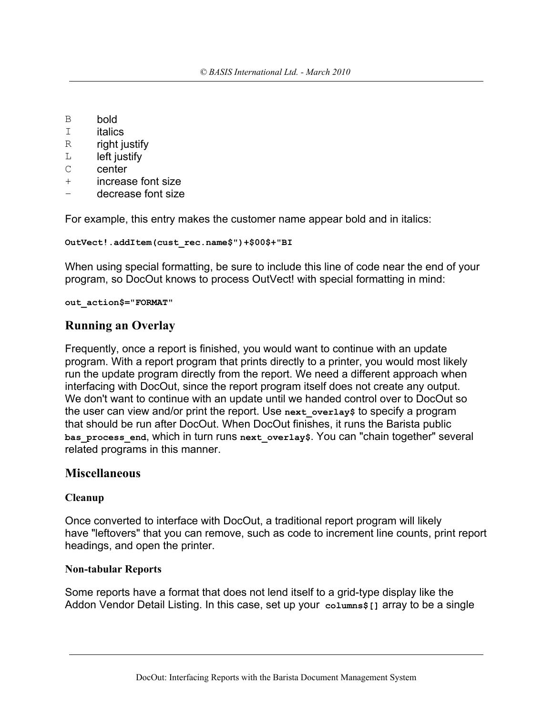- B bold
- I italics
- R right justify
- $L$  left justify
- C center
- + increase font size
- decrease font size

For example, this entry makes the customer name appear bold and in italics:

```
OutVect!.addItem(cust_rec.name$")+$00$+"BI
```
When using special formatting, be sure to include this line of code near the end of your program, so DocOut knows to process OutVect! with special formatting in mind:

**out\_action\$="FORMAT"**

### **Running an Overlay**

Frequently, once a report is finished, you would want to continue with an update program. With a report program that prints directly to a printer, you would most likely run the update program directly from the report. We need a different approach when interfacing with DocOut, since the report program itself does not create any output. We don't want to continue with an update until we handed control over to DocOut so the user can view and/or print the report. Use **next\_overlay\$** to specify a program that should be run after DocOut. When DocOut finishes, it runs the Barista public **bas\_process\_end**, which in turn runs **next\_overlay\$**. You can "chain together" several related programs in this manner.

### **Miscellaneous**

### **Cleanup**

Once converted to interface with DocOut, a traditional report program will likely have "leftovers" that you can remove, such as code to increment line counts, print report headings, and open the printer.

### **Non-tabular Reports**

Some reports have a format that does not lend itself to a grid-type display like the Addon Vendor Detail Listing. In this case, set up your **columns\$[]** array to be a single